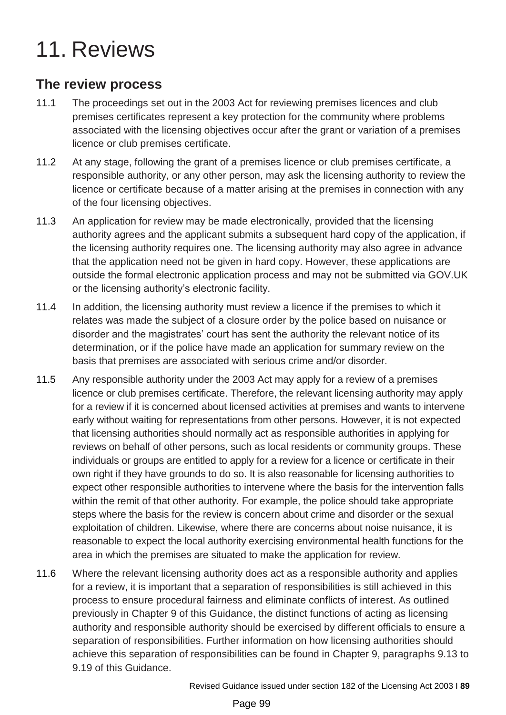# 11. Reviews

# **The review process**

- 11.1 The proceedings set out in the 2003 Act for reviewing premises licences and club premises certificates represent a key protection for the community where problems associated with the licensing objectives occur after the grant or variation of a premises licence or club premises certificate.
- 11.2 At any stage, following the grant of a premises licence or club premises certificate, a responsible authority, or any other person, may ask the licensing authority to review the licence or certificate because of a matter arising at the premises in connection with any of the four licensing objectives.
- 11.3 An application for review may be made electronically, provided that the licensing authority agrees and the applicant submits a subsequent hard copy of the application, if the licensing authority requires one. The licensing authority may also agree in advance that the application need not be given in hard copy. However, these applications are outside the formal electronic application process and may not be submitted via GOV.UK or the licensing authority's electronic facility.
- 11.4 In addition, the licensing authority must review a licence if the premises to which it relates was made the subject of a closure order by the police based on nuisance or disorder and the magistrates' court has sent the authority the relevant notice of its determination, or if the police have made an application for summary review on the basis that premises are associated with serious crime and/or disorder.
- 11.5 Any responsible authority under the 2003 Act may apply for a review of a premises licence or club premises certificate. Therefore, the relevant licensing authority may apply for a review if it is concerned about licensed activities at premises and wants to intervene early without waiting for representations from other persons. However, it is not expected that licensing authorities should normally act as responsible authorities in applying for reviews on behalf of other persons, such as local residents or community groups. These individuals or groups are entitled to apply for a review for a licence or certificate in their own right if they have grounds to do so. It is also reasonable for licensing authorities to expect other responsible authorities to intervene where the basis for the intervention falls within the remit of that other authority. For example, the police should take appropriate steps where the basis for the review is concern about crime and disorder or the sexual exploitation of children. Likewise, where there are concerns about noise nuisance, it is reasonable to expect the local authority exercising environmental health functions for the area in which the premises are situated to make the application for review.
- 11.6 Where the relevant licensing authority does act as a responsible authority and applies for a review, it is important that a separation of responsibilities is still achieved in this process to ensure procedural fairness and eliminate conflicts of interest. As outlined previously in Chapter 9 of this Guidance, the distinct functions of acting as licensing authority and responsible authority should be exercised by different officials to ensure a separation of responsibilities. Further information on how licensing authorities should achieve this separation of responsibilities can be found in Chapter 9, paragraphs 9.13 to 9.19 of this Guidance.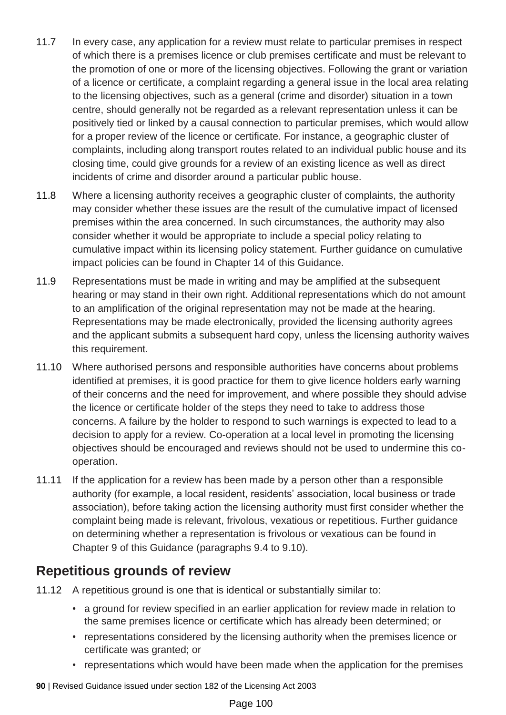- 11.7 In every case, any application for a review must relate to particular premises in respect of which there is a premises licence or club premises certificate and must be relevant to the promotion of one or more of the licensing objectives. Following the grant or variation of a licence or certificate, a complaint regarding a general issue in the local area relating to the licensing objectives, such as a general (crime and disorder) situation in a town centre, should generally not be regarded as a relevant representation unless it can be positively tied or linked by a causal connection to particular premises, which would allow for a proper review of the licence or certificate. For instance, a geographic cluster of complaints, including along transport routes related to an individual public house and its closing time, could give grounds for a review of an existing licence as well as direct incidents of crime and disorder around a particular public house.
- 11.8 Where a licensing authority receives a geographic cluster of complaints, the authority may consider whether these issues are the result of the cumulative impact of licensed premises within the area concerned. In such circumstances, the authority may also consider whether it would be appropriate to include a special policy relating to cumulative impact within its licensing policy statement. Further guidance on cumulative impact policies can be found in Chapter 14 of this Guidance.
- 11.9 Representations must be made in writing and may be amplified at the subsequent hearing or may stand in their own right. Additional representations which do not amount to an amplification of the original representation may not be made at the hearing. Representations may be made electronically, provided the licensing authority agrees and the applicant submits a subsequent hard copy, unless the licensing authority waives this requirement.
- 11.10 Where authorised persons and responsible authorities have concerns about problems identified at premises, it is good practice for them to give licence holders early warning of their concerns and the need for improvement, and where possible they should advise the licence or certificate holder of the steps they need to take to address those concerns. A failure by the holder to respond to such warnings is expected to lead to a decision to apply for a review. Co-operation at a local level in promoting the licensing objectives should be encouraged and reviews should not be used to undermine this cooperation.
- 11.11 If the application for a review has been made by a person other than a responsible authority (for example, a local resident, residents' association, local business or trade association), before taking action the licensing authority must first consider whether the complaint being made is relevant, frivolous, vexatious or repetitious. Further guidance on determining whether a representation is frivolous or vexatious can be found in Chapter 9 of this Guidance (paragraphs 9.4 to 9.10).

#### **Repetitious grounds of review**

- 11.12 A repetitious ground is one that is identical or substantially similar to:
	- a ground for review specified in an earlier application for review made in relation to the same premises licence or certificate which has already been determined; or
	- representations considered by the licensing authority when the premises licence or certificate was granted; or
	- representations which would have been made when the application for the premises
- **90** | Revised Guidance issued under section 182 of the Licensing Act 2003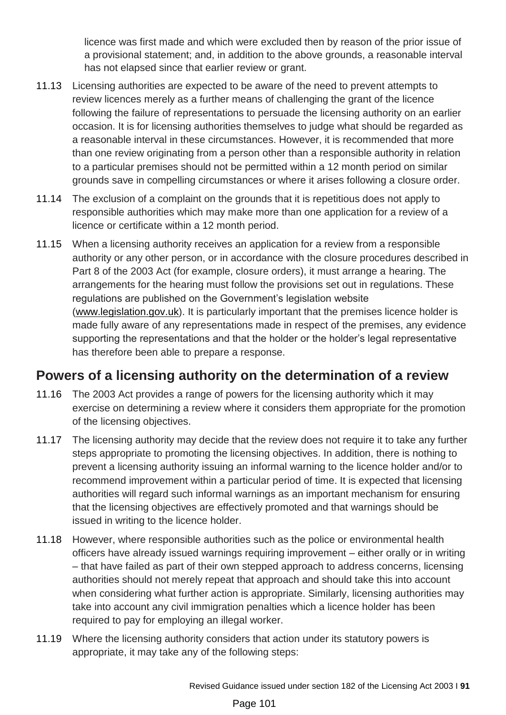licence was first made and which were excluded then by reason of the prior issue of a provisional statement; and, in addition to the above grounds, a reasonable interval has not elapsed since that earlier review or grant.

- 11.13 Licensing authorities are expected to be aware of the need to prevent attempts to review licences merely as a further means of challenging the grant of the licence following the failure of representations to persuade the licensing authority on an earlier occasion. It is for licensing authorities themselves to judge what should be regarded as a reasonable interval in these circumstances. However, it is recommended that more than one review originating from a person other than a responsible authority in relation to a particular premises should not be permitted within a 12 month period on similar grounds save in compelling circumstances or where it arises following a closure order.
- 11.14 The exclusion of a complaint on the grounds that it is repetitious does not apply to responsible authorities which may make more than one application for a review of a licence or certificate within a 12 month period.
- 11.15 When a licensing authority receives an application for a review from a responsible authority or any other person, or in accordance with the closure procedures described in Part 8 of the 2003 Act (for example, closure orders), it must arrange a hearing. The arrangements for the hearing must follow the provisions set out in regulations. These regulations are published on the Government's legislation website [\(www.legislation.gov.](http://www.legislation.gov.uk/)uk). It is particularly important that the premises licence holder is made fully aware of any representations made in respect of the premises, any evidence supporting the representations and that the holder or the holder's legal representative has therefore been able to prepare a response.

# **Powers of a licensing authority on the determination of a review**

- 11.16 The 2003 Act provides a range of powers for the licensing authority which it may exercise on determining a review where it considers them appropriate for the promotion of the licensing objectives.
- 11.17 The licensing authority may decide that the review does not require it to take any further steps appropriate to promoting the licensing objectives. In addition, there is nothing to prevent a licensing authority issuing an informal warning to the licence holder and/or to recommend improvement within a particular period of time. It is expected that licensing authorities will regard such informal warnings as an important mechanism for ensuring that the licensing objectives are effectively promoted and that warnings should be issued in writing to the licence holder.
- 11.18 However, where responsible authorities such as the police or environmental health officers have already issued warnings requiring improvement – either orally or in writing – that have failed as part of their own stepped approach to address concerns, licensing authorities should not merely repeat that approach and should take this into account when considering what further action is appropriate. Similarly, licensing authorities may take into account any civil immigration penalties which a licence holder has been required to pay for employing an illegal worker.
- 11.19 Where the licensing authority considers that action under its statutory powers is appropriate, it may take any of the following steps: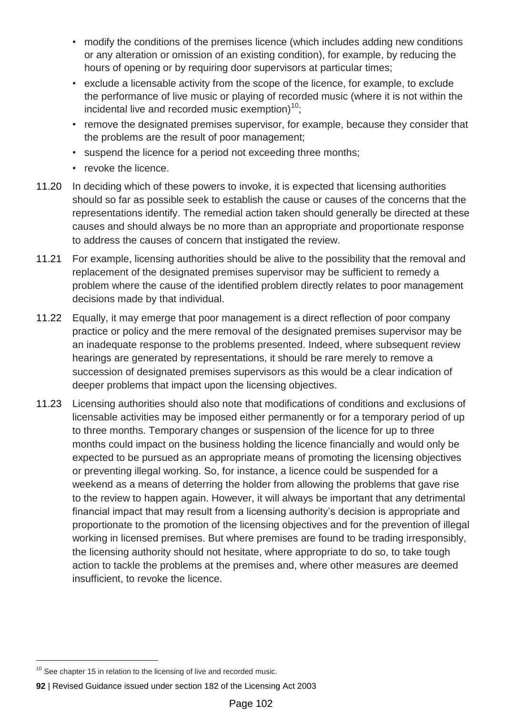- modify the conditions of the premises licence (which includes adding new conditions or any alteration or omission of an existing condition), for example, by reducing the hours of opening or by requiring door supervisors at particular times;
- exclude a licensable activity from the scope of the licence, for example, to exclude the performance of live music or playing of recorded music (where it is not within the incidental live and recorded music exemption) $10$ ;
- remove the designated premises supervisor, for example, because they consider that the problems are the result of poor management;
- suspend the licence for a period not exceeding three months;
- revoke the licence.
- 11.20 In deciding which of these powers to invoke, it is expected that licensing authorities should so far as possible seek to establish the cause or causes of the concerns that the representations identify. The remedial action taken should generally be directed at these causes and should always be no more than an appropriate and proportionate response to address the causes of concern that instigated the review.
- 11.21 For example, licensing authorities should be alive to the possibility that the removal and replacement of the designated premises supervisor may be sufficient to remedy a problem where the cause of the identified problem directly relates to poor management decisions made by that individual.
- 11.22 Equally, it may emerge that poor management is a direct reflection of poor company practice or policy and the mere removal of the designated premises supervisor may be an inadequate response to the problems presented. Indeed, where subsequent review hearings are generated by representations, it should be rare merely to remove a succession of designated premises supervisors as this would be a clear indication of deeper problems that impact upon the licensing objectives.
- 11.23 Licensing authorities should also note that modifications of conditions and exclusions of licensable activities may be imposed either permanently or for a temporary period of up to three months. Temporary changes or suspension of the licence for up to three months could impact on the business holding the licence financially and would only be expected to be pursued as an appropriate means of promoting the licensing objectives or preventing illegal working. So, for instance, a licence could be suspended for a weekend as a means of deterring the holder from allowing the problems that gave rise to the review to happen again. However, it will always be important that any detrimental financial impact that may result from a licensing authority's decision is appropriate and proportionate to the promotion of the licensing objectives and for the prevention of illegal working in licensed premises. But where premises are found to be trading irresponsibly, the licensing authority should not hesitate, where appropriate to do so, to take tough action to tackle the problems at the premises and, where other measures are deemed insufficient, to revoke the licence.

 $10$  See chapter 15 in relation to the licensing of live and recorded music.

**<sup>92</sup>** | Revised Guidance issued under section 182 of the Licensing Act 2003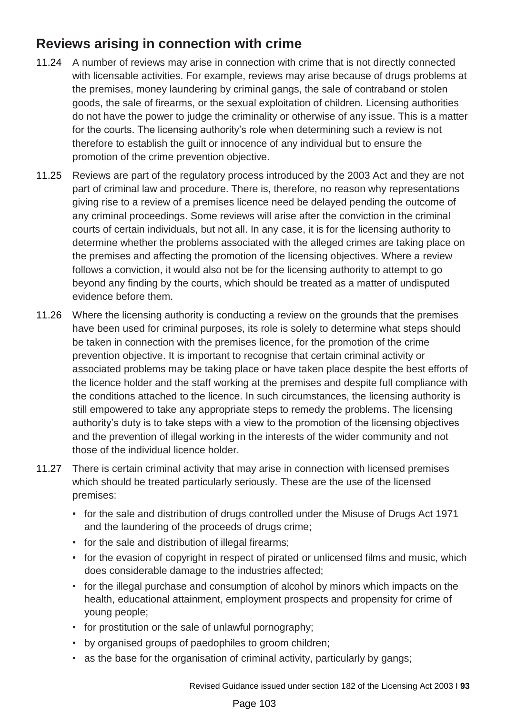# **Reviews arising in connection with crime**

- 11.24 A number of reviews may arise in connection with crime that is not directly connected with licensable activities. For example, reviews may arise because of drugs problems at the premises, money laundering by criminal gangs, the sale of contraband or stolen goods, the sale of firearms, or the sexual exploitation of children. Licensing authorities do not have the power to judge the criminality or otherwise of any issue. This is a matter for the courts. The licensing authority's role when determining such a review is not therefore to establish the guilt or innocence of any individual but to ensure the promotion of the crime prevention objective.
- 11.25 Reviews are part of the regulatory process introduced by the 2003 Act and they are not part of criminal law and procedure. There is, therefore, no reason why representations giving rise to a review of a premises licence need be delayed pending the outcome of any criminal proceedings. Some reviews will arise after the conviction in the criminal courts of certain individuals, but not all. In any case, it is for the licensing authority to determine whether the problems associated with the alleged crimes are taking place on the premises and affecting the promotion of the licensing objectives. Where a review follows a conviction, it would also not be for the licensing authority to attempt to go beyond any finding by the courts, which should be treated as a matter of undisputed evidence before them.
- 11.26 Where the licensing authority is conducting a review on the grounds that the premises have been used for criminal purposes, its role is solely to determine what steps should be taken in connection with the premises licence, for the promotion of the crime prevention objective. It is important to recognise that certain criminal activity or associated problems may be taking place or have taken place despite the best efforts of the licence holder and the staff working at the premises and despite full compliance with the conditions attached to the licence. In such circumstances, the licensing authority is still empowered to take any appropriate steps to remedy the problems. The licensing authority's duty is to take steps with a view to the promotion of the licensing objectives and the prevention of illegal working in the interests of the wider community and not those of the individual licence holder.
- 11.27 There is certain criminal activity that may arise in connection with licensed premises which should be treated particularly seriously. These are the use of the licensed premises:
	- for the sale and distribution of drugs controlled under the Misuse of Drugs Act 1971 and the laundering of the proceeds of drugs crime;
	- for the sale and distribution of illegal firearms;
	- for the evasion of copyright in respect of pirated or unlicensed films and music, which does considerable damage to the industries affected;
	- for the illegal purchase and consumption of alcohol by minors which impacts on the health, educational attainment, employment prospects and propensity for crime of young people;
	- for prostitution or the sale of unlawful pornography;
	- by organised groups of paedophiles to groom children;
	- as the base for the organisation of criminal activity, particularly by gangs;